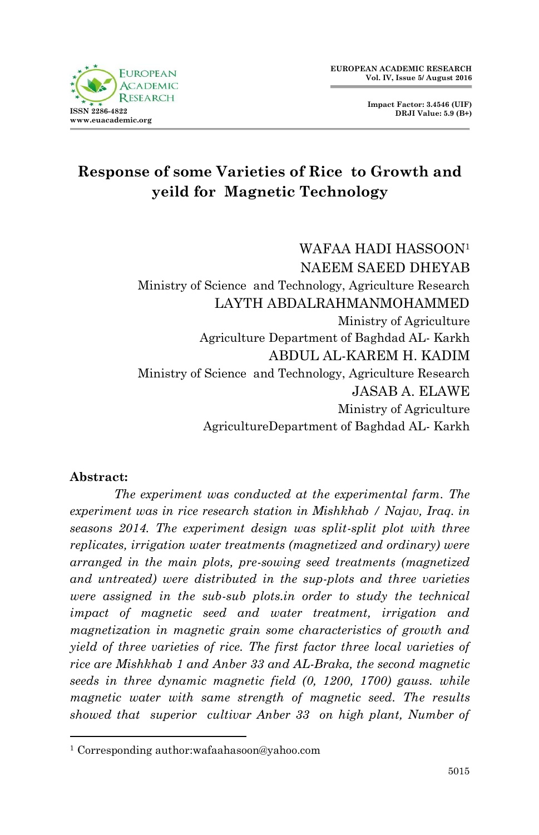

**Impact Factor: 3.4546 (UIF) DRJI Value: 5.9 (B+)**

# **Response of some Varieties of Rice to Growth and yeild for Magnetic Technology**

WAFAA HADI HASSOON<sup>1</sup> NAEEM SAEED DHEYAB Ministry of Science and Technology, Agriculture Research LAYTH ABDALRAHMANMOHAMMED Ministry of Agriculture Agriculture Department of Baghdad AL- Karkh ABDUL AL-KAREM H. KADIM Ministry of Science and Technology, Agriculture Research JASAB A. ELAWE Ministry of Agriculture AgricultureDepartment of Baghdad AL- Karkh

#### **Abstract:**

1

*The experiment was conducted at the experimental farm. The experiment was in rice research station in Mishkhab / Najav, Iraq. in seasons 2014. The experiment design was split-split plot with three replicates, irrigation water treatments (magnetized and ordinary) were arranged in the main plots, pre-sowing seed treatments (magnetized and untreated) were distributed in the sup-plots and three varieties were assigned in the sub-sub plots.in order to study the technical impact of magnetic seed and water treatment, irrigation and magnetization in magnetic grain some characteristics of growth and yield of three varieties of rice. The first factor three local varieties of rice are Mishkhab 1 and Anber 33 and AL-Braka, the second magnetic seeds in three dynamic magnetic field (0, 1200, 1700) gauss. while magnetic water with same strength of magnetic seed. The results showed that superior cultivar Anber 33 on high plant, Number of* 

<sup>1</sup> Corresponding author:wafaahasoon@yahoo.com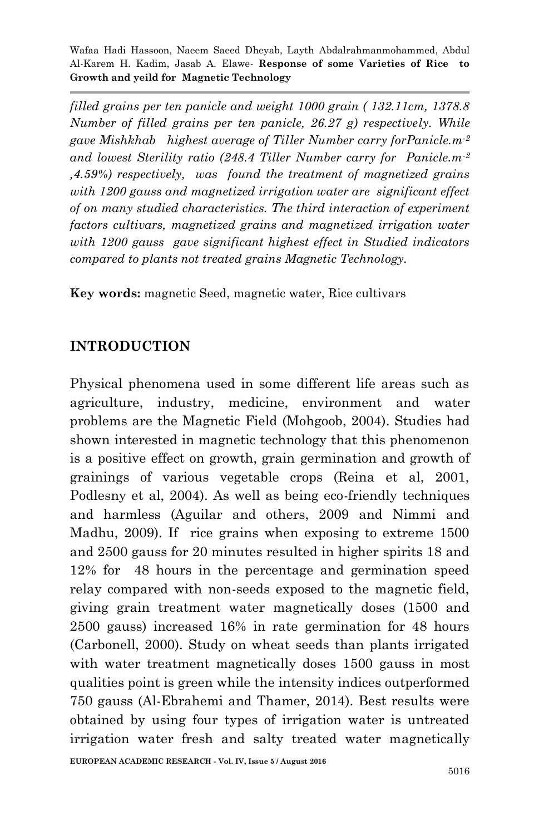*filled grains per ten panicle and weight 1000 grain ( 132.11cm, 1378.8 Number of filled grains per ten panicle, 26.27 g) respectively. While gave Mishkhab highest average of Tiller Number carry forPanicle.m-2 and lowest Sterility ratio (248.4 Tiller Number carry for Panicle.m-2 ,4.59%) respectively, was found the treatment of magnetized grains with 1200 gauss and magnetized irrigation water are significant effect of on many studied characteristics. The third interaction of experiment factors cultivars, magnetized grains and magnetized irrigation water with 1200 gauss gave significant highest effect in Studied indicators compared to plants not treated grains Magnetic Technology.*

**Key words:** magnetic Seed, magnetic water, Rice cultivars

#### **INTRODUCTION**

Physical phenomena used in some different life areas such as agriculture, industry, medicine, environment and water problems are the Magnetic Field (Mohgoob, 2004). Studies had shown interested in magnetic technology that this phenomenon is a positive effect on growth, grain germination and growth of grainings of various vegetable crops (Reina et al, 2001, Podlesny et al, 2004). As well as being eco-friendly techniques and harmless (Aguilar and others, 2009 and Nimmi and Madhu, 2009). If rice grains when exposing to extreme 1500 and 2500 gauss for 20 minutes resulted in higher spirits 18 and 12% for 48 hours in the percentage and germination speed relay compared with non-seeds exposed to the magnetic field, giving grain treatment water magnetically doses (1500 and 2500 gauss) increased 16% in rate germination for 48 hours (Carbonell, 2000). Study on wheat seeds than plants irrigated with water treatment magnetically doses 1500 gauss in most qualities point is green while the intensity indices outperformed 750 gauss (Al-Ebrahemi and Thamer, 2014). Best results were obtained by using four types of irrigation water is untreated irrigation water fresh and salty treated water magnetically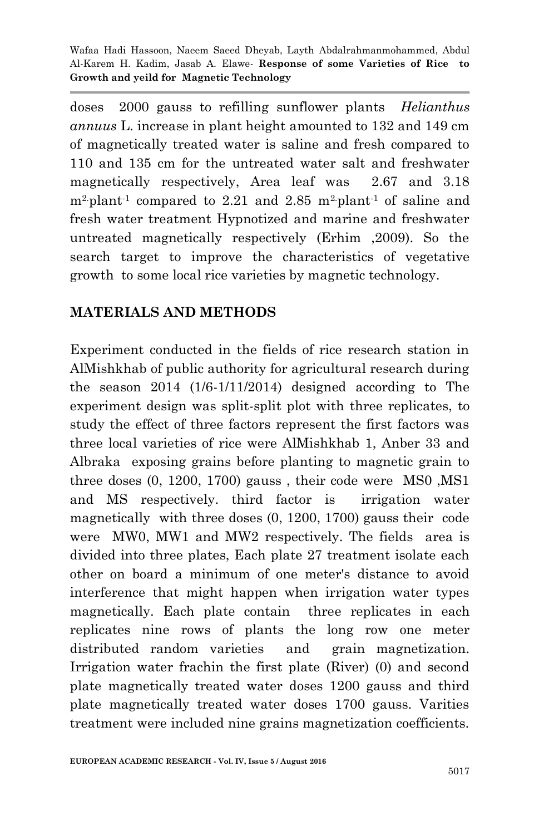doses 2000 gauss to refilling sunflower plants *Helianthus annuus* L. increase in plant height amounted to 132 and 149 cm of magnetically treated water is saline and fresh compared to 110 and 135 cm for the untreated water salt and freshwater magnetically respectively, Area leaf was 2.67 and 3.18  $m^2$ -plant<sup>-1</sup> compared to 2.21 and 2.85 m<sup>2</sup>-plant<sup>-1</sup> of saline and fresh water treatment Hypnotized and marine and freshwater untreated magnetically respectively (Erhim ,2009). So the search target to improve the characteristics of vegetative growth to some local rice varieties by magnetic technology.

## **MATERIALS AND METHODS**

Experiment conducted in the fields of rice research station in AlMishkhab of public authority for agricultural research during the season 2014 (1/6-1/11/2014) designed according to The experiment design was split-split plot with three replicates, to study the effect of three factors represent the first factors was three local varieties of rice were AlMishkhab 1, Anber 33 and Albraka exposing grains before planting to magnetic grain to three doses (0, 1200, 1700) gauss , their code were MS0 ,MS1 and MS respectively. third factor is irrigation water magnetically with three doses (0, 1200, 1700) gauss their code were MW0, MW1 and MW2 respectively. The fields area is divided into three plates, Each plate 27 treatment isolate each other on board a minimum of one meter's distance to avoid interference that might happen when irrigation water types magnetically. Each plate contain three replicates in each replicates nine rows of plants the long row one meter distributed random varieties and grain magnetization. Irrigation water frachin the first plate (River) (0) and second plate magnetically treated water doses 1200 gauss and third plate magnetically treated water doses 1700 gauss. Varities treatment were included nine grains magnetization coefficients.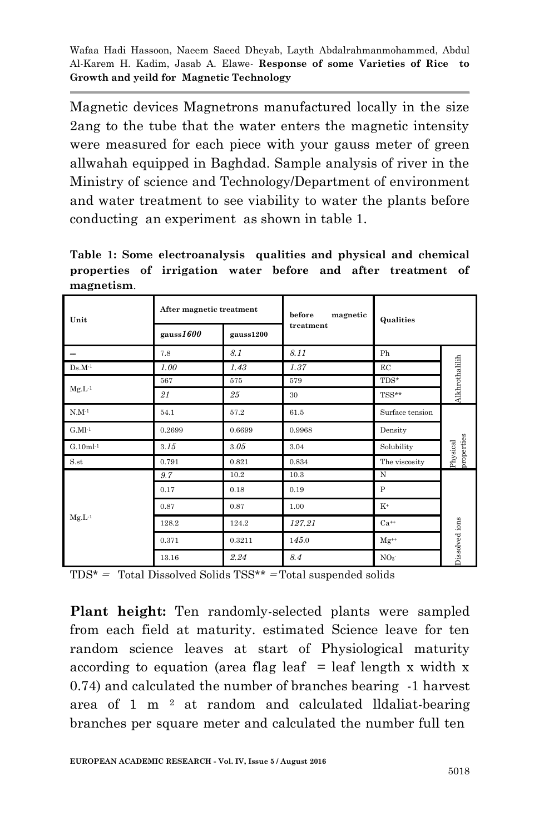Magnetic devices Magnetrons manufactured locally in the size 2ang to the tube that the water enters the magnetic intensity were measured for each piece with your gauss meter of green allwahah equipped in Baghdad. Sample analysis of river in the Ministry of science and Technology/Department of environment and water treatment to see viability to water the plants before conducting an experiment as shown in table 1.

**Table 1: Some electroanalysis qualities and physical and chemical properties of irrigation water before and after treatment of magnetism**.

| Unit        | After magnetic treatment |           | before<br>magnetic | Qualities       |                        |
|-------------|--------------------------|-----------|--------------------|-----------------|------------------------|
|             | gauss1600                | gauss1200 | treatment          |                 |                        |
|             | 7.8                      | 8.1       | 8.11               | Ph              |                        |
| $Ds.M^{-1}$ | 1.00                     | 1.43      | 1.37               | EC              | Alkhrothalilih         |
|             | 567                      | 575       | 579                | $TDS*$          |                        |
| $Mg.L^{-1}$ | 21                       | 25        | 30                 | TSS**           |                        |
| $N.M^{-1}$  | 54.1                     | 57.2      | 61.5               | Surface tension |                        |
| $G.Ml-1$    | 0.2699                   | 0.6699    | 0.9968             | Density         |                        |
| $G.10ml-1$  | 3.15                     | 3.05      | 3.04               | Solubility      | properties<br>Physical |
| S.st        | 0.791                    | 0.821     | 0.834              | The viscosity   |                        |
|             | 9.7                      | 10.2      | 10.3               | N               |                        |
|             | 0.17                     | 0.18      | 0.19               | P               |                        |
| $Mg.L^{-1}$ | 0.87                     | 0.87      | 1.00               | $K^+$           |                        |
|             | 128.2                    | 124.2     | 127.21             | $Ca^{++}$       |                        |
|             | 0.371                    | 0.3211    | 145.0              | $Mg^{++}$       | Dissolved ions         |
|             | 13.16                    | 2.24      | 8.4                | NO <sub>3</sub> |                        |

 $TDS^*$  = Total Dissolved Solids  $TSS^{**}$  = Total suspended solids

**Plant height:** Ten randomly-selected plants were sampled from each field at maturity. estimated Science leave for ten random science leaves at start of Physiological maturity according to equation (area flag leaf  $=$  leaf length x width x 0.74) and calculated the number of branches bearing -1 harvest area of 1 m  $2$  at random and calculated lldaliat-bearing branches per square meter and calculated the number full ten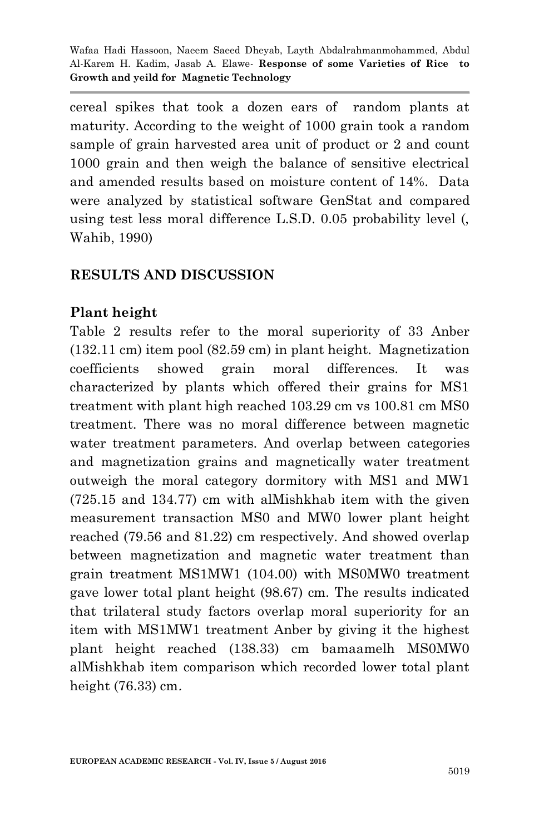cereal spikes that took a dozen ears of random plants at maturity. According to the weight of 1000 grain took a random sample of grain harvested area unit of product or 2 and count 1000 grain and then weigh the balance of sensitive electrical and amended results based on moisture content of 14%. Data were analyzed by statistical software GenStat and compared using test less moral difference L.S.D. 0.05 probability level (, Wahib, 1990)

## **RESULTS AND DISCUSSION**

## **Plant height**

Table 2 results refer to the moral superiority of 33 Anber (132.11 cm) item pool (82.59 cm) in plant height. Magnetization coefficients showed grain moral differences. It was characterized by plants which offered their grains for MS1 treatment with plant high reached 103.29 cm vs 100.81 cm MS0 treatment. There was no moral difference between magnetic water treatment parameters. And overlap between categories and magnetization grains and magnetically water treatment outweigh the moral category dormitory with MS1 and MW1 (725.15 and 134.77) cm with alMishkhab item with the given measurement transaction MS0 and MW0 lower plant height reached (79.56 and 81.22) cm respectively. And showed overlap between magnetization and magnetic water treatment than grain treatment MS1MW1 (104.00) with MS0MW0 treatment gave lower total plant height (98.67) cm. The results indicated that trilateral study factors overlap moral superiority for an item with MS1MW1 treatment Anber by giving it the highest plant height reached (138.33) cm bamaamelh MS0MW0 alMishkhab item comparison which recorded lower total plant height (76.33) cm.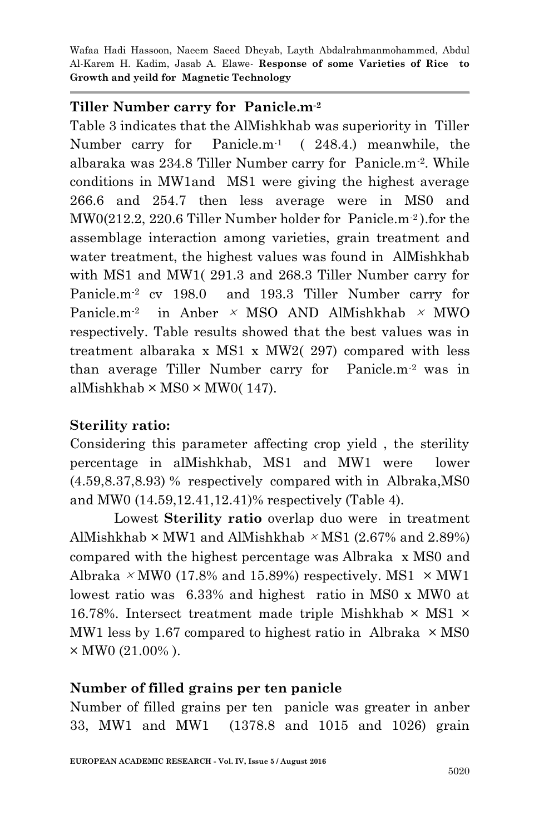## **Tiller Number carry for Panicle.m-2**

Table 3 indicates that the AlMishkhab was superiority in Tiller Number carry for Panicle.m-1 ( 248.4.) meanwhile, the albaraka was 234.8 Tiller Number carry for Panicle.m-2 . While conditions in MW1and MS1 were giving the highest average 266.6 and 254.7 then less average were in MS0 and MW0(212.2, 220.6 Tiller Number holder for Panicle.m-2 ).for the assemblage interaction among varieties, grain treatment and water treatment, the highest values was found in AlMishkhab with MS1 and MW1( 291.3 and 268.3 Tiller Number carry for Panicle.m-2 cv 198.0 and 193.3 Tiller Number carry for Panicle.m<sup>-2</sup> in Anber  $\times$  MSO AND AlMishkhab  $\times$  MWO respectively. Table results showed that the best values was in treatment albaraka x MS1 x MW2( 297) compared with less than average Tiller Number carry for Panicle.m-2 was in alMishkhab  $\times$  MS0  $\times$  MW0(147).

# **Sterility ratio:**

Considering this parameter affecting crop yield , the sterility percentage in alMishkhab, MS1 and MW1 were lower (4.59,8.37,8.93) % respectively compared with in Albraka,MS0 and MW0 (14.59,12.41,12.41)% respectively (Table 4).

Lowest **Sterility ratio** overlap duo were in treatment AlMishkhab  $\times$  MW1 and AlMishkhab  $\times$  MS1 (2.67% and 2.89%) compared with the highest percentage was Albraka x MS0 and Albraka  $\times$  MW0 (17.8% and 15.89%) respectively. MS1  $\times$  MW1 lowest ratio was 6.33% and highest ratio in MS0 x MW0 at 16.78%. Intersect treatment made triple Mishkhab  $\times$  MS1  $\times$ MW1 less by 1.67 compared to highest ratio in Albraka  $\times$  MS0  $\times$  MW0 (21.00%).

#### **Number of filled grains per ten panicle**

Number of filled grains per ten panicle was greater in anber 33, MW1 and MW1 (1378.8 and 1015 and 1026) grain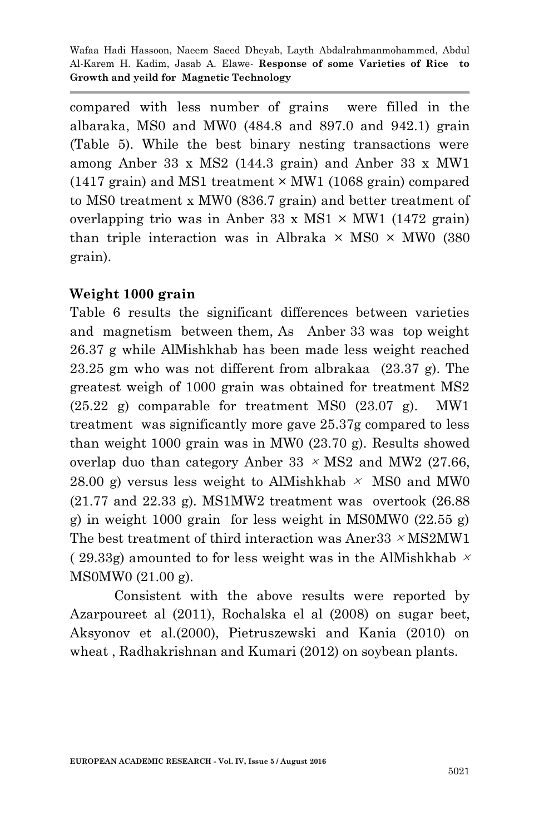compared with less number of grains were filled in the albaraka, MS0 and MW0 (484.8 and 897.0 and 942.1) grain (Table 5). While the best binary nesting transactions were among Anber 33 x MS2 (144.3 grain) and Anber 33 x MW1  $(1417 \text{ grain})$  and MS1 treatment  $\times$  MW1 (1068 grain) compared to MS0 treatment x MW0 (836.7 grain) and better treatment of overlapping trio was in Anber 33 x MS1  $\times$  MW1 (1472 grain) than triple interaction was in Albraka  $\times$  MS0  $\times$  MW0 (380) grain).

#### **Weight 1000 grain**

Table 6 results the significant differences between varieties and magnetism between them, As Anber 33 was top weight 26.37 g while AlMishkhab has been made less weight reached 23.25 gm who was not different from albrakaa (23.37 g). The greatest weigh of 1000 grain was obtained for treatment MS2  $(25.22 \text{ g})$  comparable for treatment MS0  $(23.07 \text{ g})$ . MW1 treatment was significantly more gave 25.37g compared to less than weight 1000 grain was in MW0 (23.70 g). Results showed overlap duo than category Anber 33  $\times$  MS2 and MW2 (27.66, 28.00 g) versus less weight to AlMishkhab  $\times$  MS0 and MW0 (21.77 and 22.33 g). MS1MW2 treatment was overtook (26.88 g) in weight 1000 grain for less weight in MS0MW0 (22.55 g) The best treatment of third interaction was Aner  $33 \times MS2MW1$ (29.33g) amounted to for less weight was in the AlMishkhab  $\times$ MS0MW0 (21.00 g).

Consistent with the above results were reported by Azarpoureet al (2011), Rochalska el al (2008) on sugar beet, Aksyonov et al.(2000), Pietruszewski and Kania (2010) on wheat , Radhakrishnan and Kumari (2012) on soybean plants.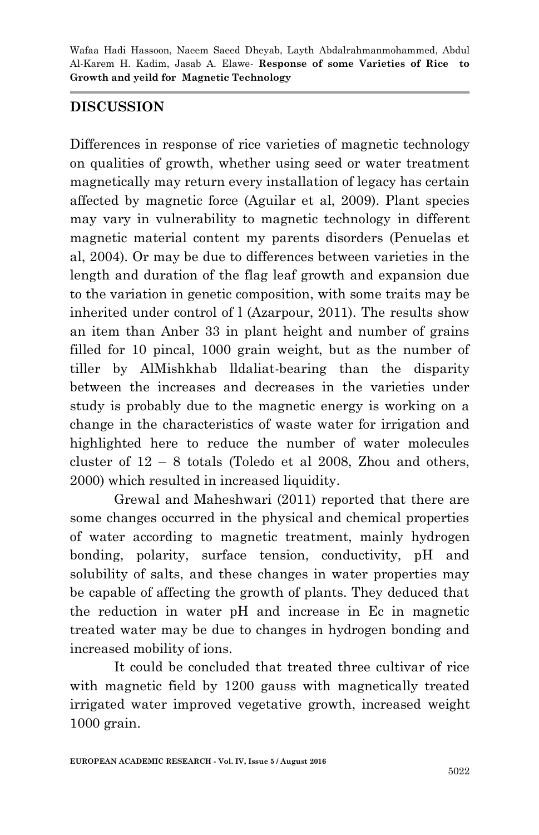# **DISCUSSION**

Differences in response of rice varieties of magnetic technology on qualities of growth, whether using seed or water treatment magnetically may return every installation of legacy has certain affected by magnetic force (Aguilar et al, 2009). Plant species may vary in vulnerability to magnetic technology in different magnetic material content my parents disorders (Penuelas et al, 2004). Or may be due to differences between varieties in the length and duration of the flag leaf growth and expansion due to the variation in genetic composition, with some traits may be inherited under control of l (Azarpour, 2011). The results show an item than Anber 33 in plant height and number of grains filled for 10 pincal, 1000 grain weight, but as the number of tiller by AlMishkhab lldaliat-bearing than the disparity between the increases and decreases in the varieties under study is probably due to the magnetic energy is working on a change in the characteristics of waste water for irrigation and highlighted here to reduce the number of water molecules cluster of  $12 - 8$  totals (Toledo et al 2008, Zhou and others, 2000) which resulted in increased liquidity.

Grewal and Maheshwari (2011) reported that there are some changes occurred in the physical and chemical properties of water according to magnetic treatment, mainly hydrogen bonding, polarity, surface tension, conductivity, pH and solubility of salts, and these changes in water properties may be capable of affecting the growth of plants. They deduced that the reduction in water pH and increase in Ec in magnetic treated water may be due to changes in hydrogen bonding and increased mobility of ions.

It could be concluded that treated three cultivar of rice with magnetic field by 1200 gauss with magnetically treated irrigated water improved vegetative growth, increased weight 1000 grain.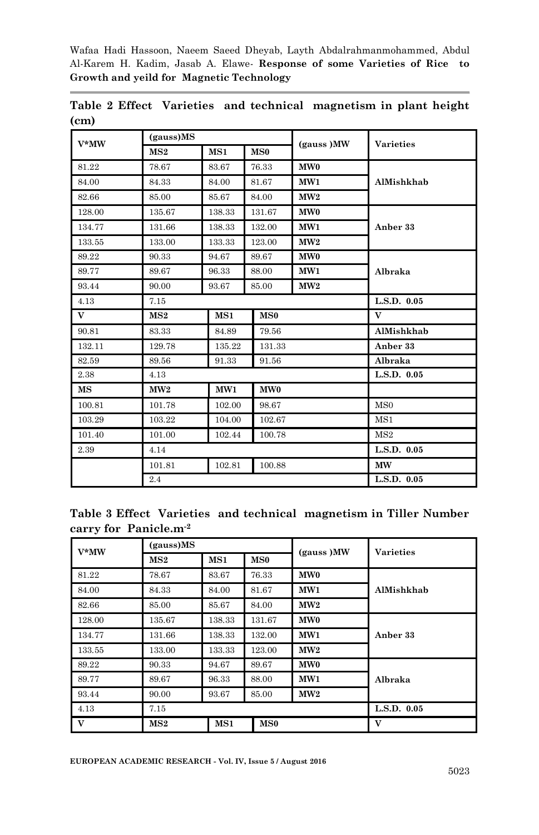| $V^*MW$ | (gauss)MS |        |                 |                 | <b>Varieties</b> |  |
|---------|-----------|--------|-----------------|-----------------|------------------|--|
|         | MS2       | MS1    | MS <sub>0</sub> | (gauss) MW      |                  |  |
| 81.22   | 78.67     | 83.67  | 76.33           | MW <sub>0</sub> |                  |  |
| 84.00   | 84.33     | 84.00  | 81.67           | MW1             | AlMishkhab       |  |
| 82.66   | 85.00     | 85.67  | 84.00           | MW2             |                  |  |
| 128.00  | 135.67    | 138.33 | 131.67          | MW <sub>0</sub> |                  |  |
| 134.77  | 131.66    | 138.33 | 132.00          | MW1             | Anber 33         |  |
| 133.55  | 133.00    | 133.33 | 123.00          | MW2             |                  |  |
| 89.22   | 90.33     | 94.67  | 89.67           | MW <sub>0</sub> |                  |  |
| 89.77   | 89.67     | 96.33  | 88.00           | MW <sub>1</sub> | Albraka          |  |
| 93.44   | 90.00     | 93.67  | 85.00           | MW2             |                  |  |
| 4.13    | 7.15      |        |                 |                 | L.S.D. 0.05      |  |
| V       | MS2       | MS1    | MS <sub>0</sub> |                 | $\mathbf{V}$     |  |
| 90.81   | 83.33     | 84.89  | 79.56           |                 | AlMishkhab       |  |
| 132.11  | 129.78    | 135.22 | 131.33          |                 | Anber 33         |  |
| 82.59   | 89.56     | 91.33  | 91.56           |                 | Albraka          |  |
| 2.38    | 4.13      |        |                 |                 | L.S.D. 0.05      |  |
| MS      | MW2       | MW1    | MW <sub>0</sub> |                 |                  |  |
| 100.81  | 101.78    | 102.00 | 98.67           |                 | MS <sub>0</sub>  |  |
| 103.29  | 103.22    | 104.00 | 102.67          |                 | MS1              |  |
| 101.40  | 101.00    | 102.44 | 100.78          |                 | MS2              |  |
| 2.39    | 4.14      |        |                 |                 | L.S.D. 0.05      |  |
|         | 101.81    | 102.81 | 100.88          |                 | <b>MW</b>        |  |
|         | 2.4       |        |                 |                 | L.S.D. 0.05      |  |

|                   | Table 2 Effect Varieties and technical magnetism in plant height |  |  |
|-------------------|------------------------------------------------------------------|--|--|
| (c <sub>m</sub> ) |                                                                  |  |  |

|                                   | Table 3 Effect Varieties and technical magnetism in Tiller Number |  |  |
|-----------------------------------|-------------------------------------------------------------------|--|--|
| carry for Panicle.m <sup>-2</sup> |                                                                   |  |  |

| $V^*MW$ | (gauss)MS<br>(gauss) MW |        |                 | <b>Varieties</b> |             |
|---------|-------------------------|--------|-----------------|------------------|-------------|
|         | $_{\rm MS2}$            | MS1    | MS0             |                  |             |
| 81.22   | 78.67                   | 83.67  | 76.33           | MW <sub>0</sub>  |             |
| 84.00   | 84.33                   | 84.00  | 81.67           | MW1              | AlMishkhab  |
| 82.66   | 85.00                   | 85.67  | 84.00           | MW2              |             |
| 128.00  | 135.67                  | 138.33 | 131.67          | MW <sub>0</sub>  |             |
| 134.77  | 131.66                  | 138.33 | 132.00          | MW1              | Anber 33    |
| 133.55  | 133.00                  | 133.33 | 123.00          | MW2              |             |
| 89.22   | 90.33                   | 94.67  | 89.67           | MW <sub>0</sub>  |             |
| 89.77   | 89.67                   | 96.33  | 88.00           | MW1              | Albraka     |
| 93.44   | 90.00                   | 93.67  | 85.00           | MW2              |             |
| 4.13    | 7.15                    |        |                 |                  | L.S.D. 0.05 |
| V       | MS2                     | MS1    | MS <sub>0</sub> |                  | V           |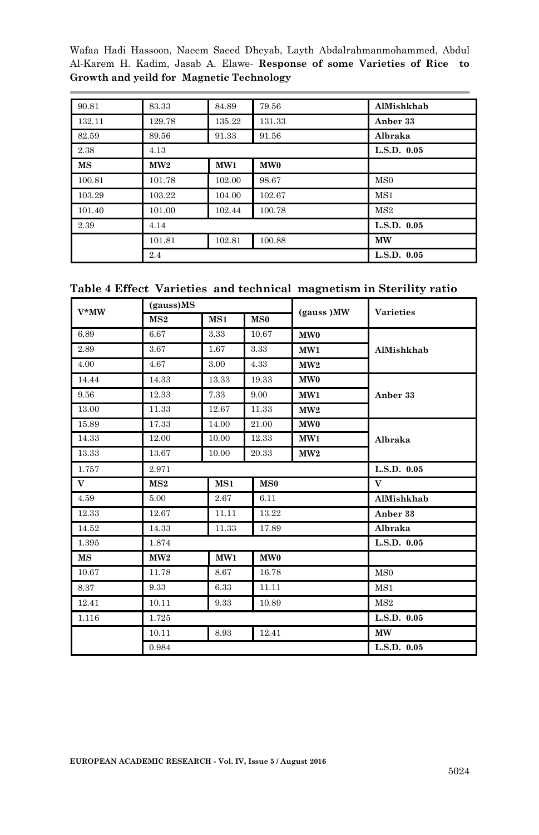| 90.81     | 83.33  | 84.89  | 79.56           | AlMishkhab      |
|-----------|--------|--------|-----------------|-----------------|
| 132.11    | 129.78 | 135.22 | 131.33          | Anber 33        |
| 82.59     | 89.56  | 91.33  | 91.56           | Albraka         |
| 2.38      | 4.13   |        |                 | L.S.D. 0.05     |
| <b>MS</b> | MW2    | MW1    | MW <sub>0</sub> |                 |
| 100.81    | 101.78 | 102.00 | 98.67           | MS <sub>0</sub> |
| 103.29    | 103.22 | 104.00 | 102.67          | MS1             |
| 101.40    | 101.00 | 102.44 | 100.78          | MS2             |
| 2.39      | 4.14   |        |                 | L.S.D. 0.05     |
|           | 101.81 | 102.81 | 100.88          | <b>MW</b>       |
|           | 2.4    |        |                 | L.S.D. 0.05     |

| Table 4 Effect Varieties and technical magnetism in Sterility ratio |  |
|---------------------------------------------------------------------|--|
|---------------------------------------------------------------------|--|

| V*MW        | (gauss)MS |       |                 |                 |                  |
|-------------|-----------|-------|-----------------|-----------------|------------------|
|             | MS2       | MS1   | MS0             | (gauss) MW      | <b>Varieties</b> |
| 6.89        | 6.67      | 3.33  | 10.67           | MW <sub>0</sub> |                  |
| 2.89        | 3.67      | 1.67  | 3.33            | MW1             | AlMishkhab       |
| 4.00        | 4.67      | 3.00  | 4.33            | MW2             |                  |
| 14.44       | 14.33     | 13.33 | 19.33           | MW <sub>0</sub> |                  |
| 9.56        | 12.33     | 7.33  | 9.00            | MW1             | Anber 33         |
| 13.00       | 11.33     | 12.67 | 11.33           | MW2             |                  |
| 15.89       | 17.33     | 14.00 | 21.00           | MW <sub>0</sub> |                  |
| 14.33       | 12.00     | 10.00 | 12.33           | MW1             | Albraka          |
| 13.33       | 13.67     | 10.00 | 20.33           | MW2             |                  |
| 1.757       | 2.971     |       |                 |                 | L.S.D. 0.05      |
| V           | MS2       | MS1   | MS0             |                 | V                |
| 4.59        | 5.00      | 2.67  | 6.11            |                 | AlMishkhab       |
| 12.33       | 12.67     | 11.11 | 13.22           |                 | Anber 33         |
| 14.52       | 14.33     | 11.33 | 17.89           |                 | Albraka          |
| 1.395       | 1.874     |       |                 |                 | L.S.D. 0.05      |
| $_{\rm MS}$ | MW2       | MW1   | MW <sub>0</sub> |                 |                  |
| 10.67       | 11.78     | 8.67  | 16.78           |                 | MS <sub>0</sub>  |
| 8.37        | 9.33      | 6.33  | 11.11           |                 | MS1              |
| 12.41       | 10.11     | 9.33  | 10.89           |                 | MS2              |
| 1.116       | 1.725     |       |                 |                 | L.S.D. 0.05      |
|             | 10.11     | 8.93  | 12.41           |                 | <b>MW</b>        |
|             | 0.984     |       |                 |                 | L.S.D. 0.05      |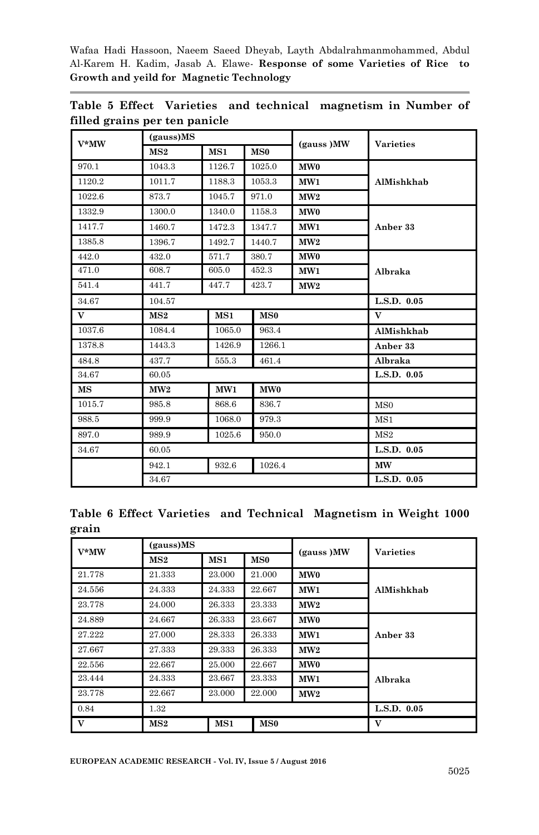| $V^*MW$                  | (gauss)MS |        |                 | (gauss) MW      | <b>Varieties</b> |
|--------------------------|-----------|--------|-----------------|-----------------|------------------|
|                          | MS2       | MS1    | MS0             |                 |                  |
| 970.1                    | 1043.3    | 1126.7 | 1025.0          | MW <sub>0</sub> |                  |
| 1120.2                   | 1011.7    | 1188.3 | 1053.3          | MW1             | AlMishkhab       |
| 1022.6                   | 873.7     | 1045.7 | 971.0           | MW2             |                  |
| 1332.9                   | 1300.0    | 1340.0 | 1158.3          | MW <sub>0</sub> |                  |
| 1417.7                   | 1460.7    | 1472.3 | 1347.7          | MW1             | Anber 33         |
| 1385.8                   | 1396.7    | 1492.7 | 1440.7          | MW2             |                  |
| 442.0                    | 432.0     | 571.7  | 380.7           | MW <sub>0</sub> |                  |
| 471.0                    | 608.7     | 605.0  | 452.3           | MW1             | Albraka          |
| 541.4                    | 441.7     | 447.7  | 423.7           | MW2             |                  |
| 34.67                    | 104.57    |        |                 |                 | L.S.D. 0.05      |
| V                        | MS2       | MS1    | MS0             |                 | $\mathbf{V}$     |
| 1037.6                   | 1084.4    | 1065.0 | 963.4           |                 | AlMishkhab       |
| 1378.8                   | 1443.3    | 1426.9 | 1266.1          |                 | Anber 33         |
| 484.8                    | 437.7     | 555.3  | 461.4           |                 | Albraka          |
| 34.67                    | 60.05     |        |                 |                 | L.S.D. 0.05      |
| $\overline{\mathbf{MS}}$ | MW2       | MW1    | MW <sub>0</sub> |                 |                  |
| 1015.7                   | 985.8     | 868.6  | 836.7           |                 | MS <sub>0</sub>  |
| 988.5                    | 999.9     | 1068.0 | 979.3           |                 | MS1              |
| 897.0                    | 989.9     | 1025.6 | 950.0           |                 | MS2              |
| 34.67                    | 60.05     |        |                 |                 | L.S.D. 0.05      |
|                          | 942.1     | 932.6  | 1026.4          |                 | <b>MW</b>        |
|                          | 34.67     |        |                 |                 | L.S.D. 0.05      |

**Table 5 Effect Varieties and technical magnetism in Number of filled grains per ten panicle**

|       |  | Table 6 Effect Varieties and Technical Magnetism in Weight 1000 |  |  |
|-------|--|-----------------------------------------------------------------|--|--|
| grain |  |                                                                 |  |  |

| $V^*MW$ | (gauss)MS |        |                 | (gauss) MW      | <b>Varieties</b> |
|---------|-----------|--------|-----------------|-----------------|------------------|
|         | MS2       | MS1    | MS0             |                 |                  |
| 21.778  | 21.333    | 23.000 | 21.000          | MW <sub>0</sub> |                  |
| 24.556  | 24.333    | 24.333 | 22.667          | MW1             | AlMishkhab       |
| 23.778  | 24.000    | 26.333 | 23.333          | MW2             |                  |
| 24.889  | 24.667    | 26.333 | 23.667          | MW <sub>0</sub> |                  |
| 27.222  | 27.000    | 28.333 | 26.333          | MW1             | Anber 33         |
| 27.667  | 27.333    | 29.333 | 26.333          | MW2             |                  |
| 22.556  | 22.667    | 25.000 | 22.667          | MW0             |                  |
| 23.444  | 24.333    | 23.667 | 23.333          | MW1             | Albraka          |
| 23.778  | 22.667    | 23.000 | 22.000          | MW2             |                  |
| 0.84    | 1.32      |        |                 |                 | L.S.D. 0.05      |
| V       | MS2       | MS1    | MS <sub>0</sub> |                 | V                |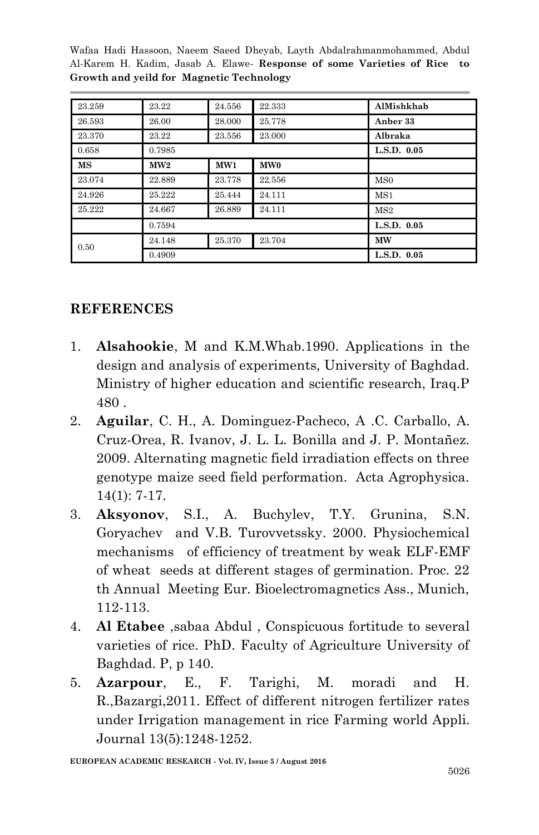| 23.259    | 23.22  | 24.556 | 22.333          | AlMishkhab      |
|-----------|--------|--------|-----------------|-----------------|
| 26.593    | 26.00  | 28.000 | 25.778          | Anber 33        |
| 23.370    | 23.22  | 23.556 | 23,000          | Albraka         |
| 0.658     | 0.7985 |        |                 | L.S.D. 0.05     |
| <b>MS</b> | MW2    | MW1    | MW <sub>0</sub> |                 |
| 23.074    | 22.889 | 23.778 | 22.556          | MS <sub>0</sub> |
| 24.926    | 25.222 | 25.444 | 24.111          | MS1             |
| 25.222    | 24.667 | 26.889 | 24.111          | MS2             |
|           | 0.7594 |        |                 | L.S.D. 0.05     |
| 0.50      | 24.148 | 25.370 | 23.704          | <b>MW</b>       |
|           | 0.4909 |        |                 | L.S.D. 0.05     |

# **REFERENCES**

- 1. **Alsahookie**, M and K.M.Whab.1990. Applications in the design and analysis of experiments, University of Baghdad. Ministry of higher education and scientific research, Iraq.P 480 .
- 2. **Aguilar**, C. H., A. Dominguez-Pacheco, A .C. Carballo, A. Cruz-Orea, R. Ivanov, J. L. L. Bonilla and J. P. Montañez. 2009. Alternating magnetic field irradiation effects on three genotype maize seed field performation. Acta Agrophysica. 14(1): 7-17.
- 3. **Aksyonov**, S.I., A. Buchylev, T.Y. Grunina, S.N. Goryachev and V.B. Turovvetssky. 2000. Physiochemical mechanisms of efficiency of treatment by weak ELF-EMF of wheat seeds at different stages of germination. Proc. 22 th Annual Meeting Eur. Bioelectromagnetics Ass., Munich, 112-113.
- 4. **Al Etabee** ,sabaa Abdul , Conspicuous fortitude to several varieties of rice. PhD. Faculty of Agriculture University of Baghdad. P, p 140.
- 5. **Azarpour**, E., F. Tarighi, M. moradi and H. R.,Bazargi,2011. Effect of different nitrogen fertilizer rates under Irrigation management in rice Farming world Appli. Journal 13(5):1248-1252.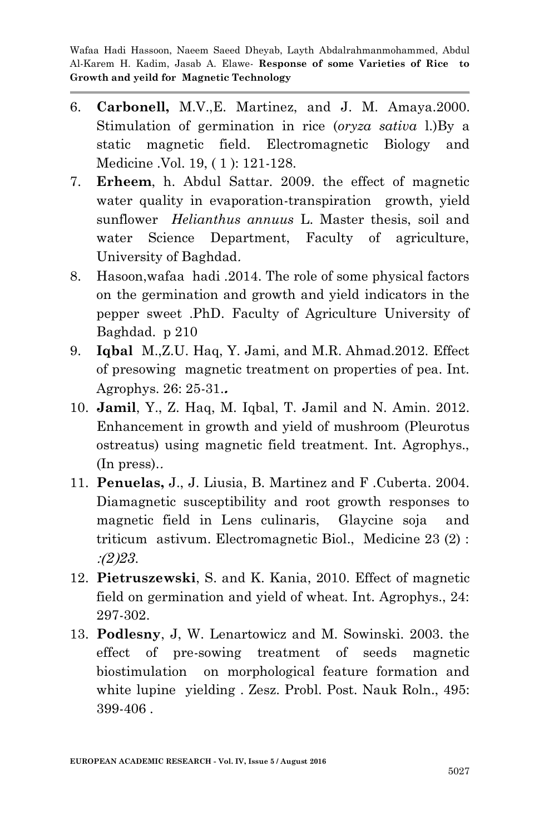- 6. **[Carbonell,](http://informahealthcare.com/action/doSearch?Contrib=Carbonell%2C+M+V)** M.V.[,E. Martinez,](http://informahealthcare.com/action/doSearch?Contrib=Martinez%2C+E) and [J. M. Amaya.](http://informahealthcare.com/action/doSearch?Contrib=Amaya%2C+J+M)2000. Stimulation of germination in rice (*oryza sativa* l.)By a static magnetic field. Electromagnetic Biology and Medicine .Vol. 19, ( 1 ): 121-128.
- 7. **Erheem**, h. Abdul Sattar. 2009. the effect of magnetic water quality in evaporation-transpiration growth, yield sunflower *Helianthus annuus* L. Master thesis, soil and water Science Department, Faculty of agriculture, University of Baghdad.
- 8. Hasoon,wafaa hadi .2014. The role of some physical factors on the germination and growth and yield indicators in the pepper sweet .PhD. Faculty of Agriculture University of Baghdad. p 210
- 9. **Iqbal** M.,Z.U. Haq, Y. Jami, and M.R. Ahmad.2012. Effect of presowing magnetic treatment on properties of pea. Int. Agrophys. 26: 25-31.**.**
- 10. **Jamil**, Y., Z. Haq, M. Iqbal, T. Jamil and N. Amin. 2012. Enhancement in growth and yield of mushroom (Pleurotus ostreatus) using magnetic field treatment. Int. Agrophys., (In press)..
- 11. **Penuelas,** J., J. Liusia, B. Martinez and F .Cuberta. 2004. Diamagnetic susceptibility and root growth responses to magnetic field in Lens culinaris, Glaycine soja and triticum astivum. Electromagnetic Biol., Medicine 23 (2) : :)*5*(*5.*.
- 12. **Pietruszewski**, S. and K. Kania, 2010. Effect of magnetic field on germination and yield of wheat. Int. Agrophys., 24: 297-302.
- 13. **Podlesny**, J, W. Lenartowicz and M. Sowinski. 2003. the effect of pre-sowing treatment of seeds magnetic biostimulation on morphological feature formation and white lupine yielding . Zesz. Probl. Post. Nauk Roln., 495: 399-406 .